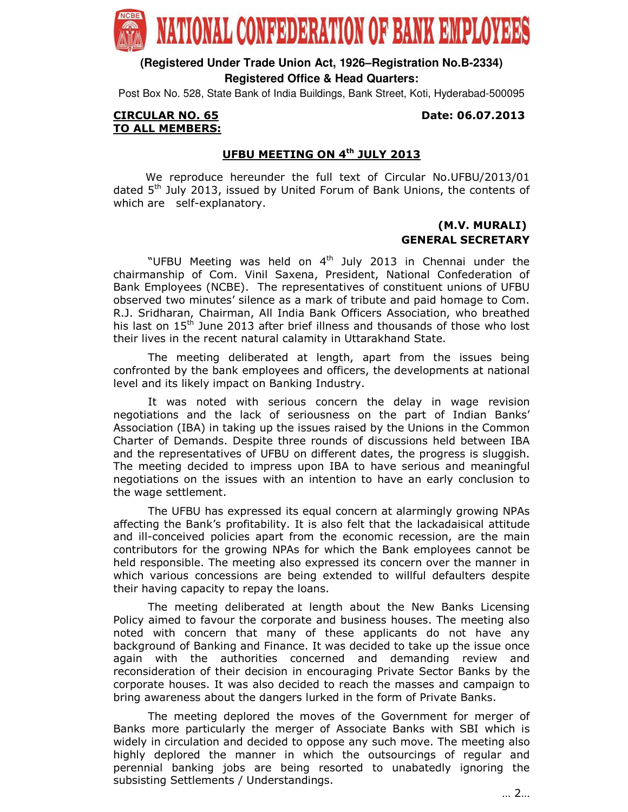

**(Registered Under Trade Union Act, 1926–Registration No.B-2334) Registered Office & Head Quarters:**

Post Box No. 528, State Bank of India Buildings, Bank Street, Koti, Hyderabad-500095

#### CIRCULAR NO. 65 Date: 06.07.2013 TO ALL MEMBERS:

## UFBU MEETING ON 4<sup>th</sup> JULY 2013

 We reproduce hereunder the full text of Circular No.UFBU/2013/01 dated  $5<sup>th</sup>$  July 2013, issued by United Forum of Bank Unions, the contents of which are self-explanatory.

# (M.V. MURALI) GENERAL SECRETARY

"UFBU Meeting was held on  $4<sup>th</sup>$  July 2013 in Chennai under the chairmanship of Com. Vinil Saxena, President, National Confederation of Bank Employees (NCBE). The representatives of constituent unions of UFBU observed two minutes' silence as a mark of tribute and paid homage to Com. R.J. Sridharan, Chairman, All India Bank Officers Association, who breathed his last on 15<sup>th</sup> June 2013 after brief illness and thousands of those who lost their lives in the recent natural calamity in Uttarakhand State.

The meeting deliberated at length, apart from the issues being confronted by the bank employees and officers, the developments at national level and its likely impact on Banking Industry.

 It was noted with serious concern the delay in wage revision negotiations and the lack of seriousness on the part of Indian Banks' Association (IBA) in taking up the issues raised by the Unions in the Common Charter of Demands. Despite three rounds of discussions held between IBA and the representatives of UFBU on different dates, the progress is sluggish. The meeting decided to impress upon IBA to have serious and meaningful negotiations on the issues with an intention to have an early conclusion to the wage settlement.

 The UFBU has expressed its equal concern at alarmingly growing NPAs affecting the Bank's profitability. It is also felt that the lackadaisical attitude and ill-conceived policies apart from the economic recession, are the main contributors for the growing NPAs for which the Bank employees cannot be held responsible. The meeting also expressed its concern over the manner in which various concessions are being extended to willful defaulters despite their having capacity to repay the loans.

 The meeting deliberated at length about the New Banks Licensing Policy aimed to favour the corporate and business houses. The meeting also noted with concern that many of these applicants do not have any background of Banking and Finance. It was decided to take up the issue once again with the authorities concerned and demanding review and reconsideration of their decision in encouraging Private Sector Banks by the corporate houses. It was also decided to reach the masses and campaign to bring awareness about the dangers lurked in the form of Private Banks.

 The meeting deplored the moves of the Government for merger of Banks more particularly the merger of Associate Banks with SBI which is widely in circulation and decided to oppose any such move. The meeting also highly deplored the manner in which the outsourcings of regular and perennial banking jobs are being resorted to unabatedly ignoring the subsisting Settlements / Understandings.